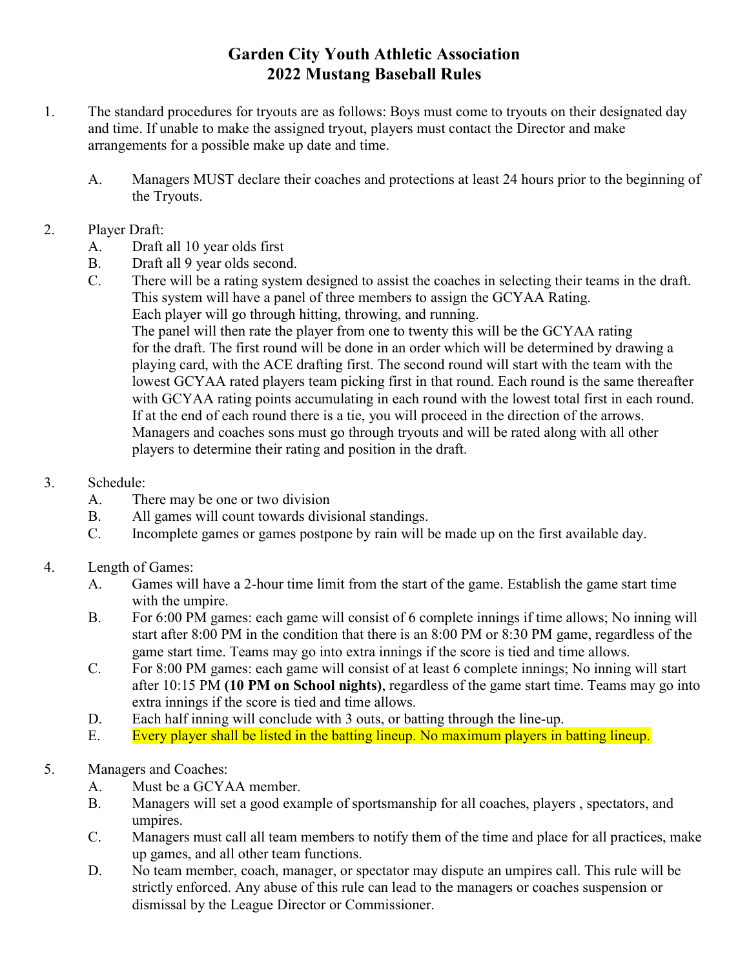## Garden City Youth Athletic Association 2022 Mustang Baseball Rules

- 1. The standard procedures for tryouts are as follows: Boys must come to tryouts on their designated day and time. If unable to make the assigned tryout, players must contact the Director and make arrangements for a possible make up date and time.
	- A. Managers MUST declare their coaches and protections at least 24 hours prior to the beginning of the Tryouts.
- 2. Player Draft:
	- A. Draft all 10 year olds first
	- B. Draft all 9 year olds second.
	- C. There will be a rating system designed to assist the coaches in selecting their teams in the draft. This system will have a panel of three members to assign the GCYAA Rating. Each player will go through hitting, throwing, and running.

 The panel will then rate the player from one to twenty this will be the GCYAA rating for the draft. The first round will be done in an order which will be determined by drawing a playing card, with the ACE drafting first. The second round will start with the team with the lowest GCYAA rated players team picking first in that round. Each round is the same thereafter with GCYAA rating points accumulating in each round with the lowest total first in each round. If at the end of each round there is a tie, you will proceed in the direction of the arrows. Managers and coaches sons must go through tryouts and will be rated along with all other players to determine their rating and position in the draft.

## 3. Schedule:

- A. There may be one or two division
- B. All games will count towards divisional standings.
- C. Incomplete games or games postpone by rain will be made up on the first available day.
- 4. Length of Games:
	- A. Games will have a 2-hour time limit from the start of the game. Establish the game start time with the umpire.
	- B. For 6:00 PM games: each game will consist of 6 complete innings if time allows; No inning will start after 8:00 PM in the condition that there is an 8:00 PM or 8:30 PM game, regardless of the game start time. Teams may go into extra innings if the score is tied and time allows.
	- C. For 8:00 PM games: each game will consist of at least 6 complete innings; No inning will start after 10:15 PM (10 PM on School nights), regardless of the game start time. Teams may go into extra innings if the score is tied and time allows.
	- D. Each half inning will conclude with 3 outs, or batting through the line-up.
	- E. Every player shall be listed in the batting lineup. No maximum players in batting lineup.
- 5. Managers and Coaches:
	- A. Must be a GCYAA member.
	- B. Managers will set a good example of sportsmanship for all coaches, players , spectators, and umpires.
	- C. Managers must call all team members to notify them of the time and place for all practices, make up games, and all other team functions.
	- D. No team member, coach, manager, or spectator may dispute an umpires call. This rule will be strictly enforced. Any abuse of this rule can lead to the managers or coaches suspension or dismissal by the League Director or Commissioner.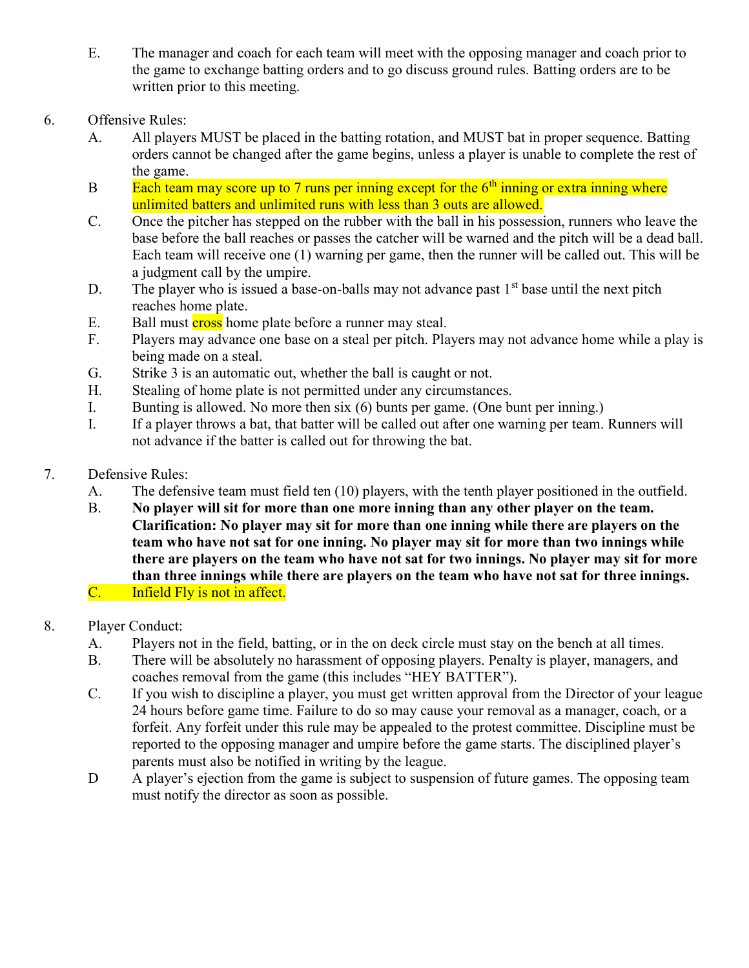- E. The manager and coach for each team will meet with the opposing manager and coach prior to the game to exchange batting orders and to go discuss ground rules. Batting orders are to be written prior to this meeting.
- 6. Offensive Rules:
	- A. All players MUST be placed in the batting rotation, and MUST bat in proper sequence. Batting orders cannot be changed after the game begins, unless a player is unable to complete the rest of the game.
	- B Each team may score up to 7 runs per inning except for the  $6<sup>th</sup>$  inning or extra inning where unlimited batters and unlimited runs with less than 3 outs are allowed.
	- C. Once the pitcher has stepped on the rubber with the ball in his possession, runners who leave the base before the ball reaches or passes the catcher will be warned and the pitch will be a dead ball. Each team will receive one (1) warning per game, then the runner will be called out. This will be a judgment call by the umpire.
	- D. The player who is issued a base-on-balls may not advance past  $1<sup>st</sup>$  base until the next pitch reaches home plate.
	- E. Ball must **cross** home plate before a runner may steal.
	- F. Players may advance one base on a steal per pitch. Players may not advance home while a play is being made on a steal.
	- G. Strike 3 is an automatic out, whether the ball is caught or not.
	- H. Stealing of home plate is not permitted under any circumstances.
	- I. Bunting is allowed. No more then six (6) bunts per game. (One bunt per inning.)
	- I. If a player throws a bat, that batter will be called out after one warning per team. Runners will not advance if the batter is called out for throwing the bat.
- 7. Defensive Rules:
	- A. The defensive team must field ten (10) players, with the tenth player positioned in the outfield.
	- B. No player will sit for more than one more inning than any other player on the team. Clarification: No player may sit for more than one inning while there are players on the team who have not sat for one inning. No player may sit for more than two innings while there are players on the team who have not sat for two innings. No player may sit for more than three innings while there are players on the team who have not sat for three innings. C. Infield Fly is not in affect.
- 8. Player Conduct:
	- A. Players not in the field, batting, or in the on deck circle must stay on the bench at all times.
	- B. There will be absolutely no harassment of opposing players. Penalty is player, managers, and coaches removal from the game (this includes "HEY BATTER").
	- C. If you wish to discipline a player, you must get written approval from the Director of your league 24 hours before game time. Failure to do so may cause your removal as a manager, coach, or a forfeit. Any forfeit under this rule may be appealed to the protest committee. Discipline must be reported to the opposing manager and umpire before the game starts. The disciplined player's parents must also be notified in writing by the league.
	- D A player's ejection from the game is subject to suspension of future games. The opposing team must notify the director as soon as possible.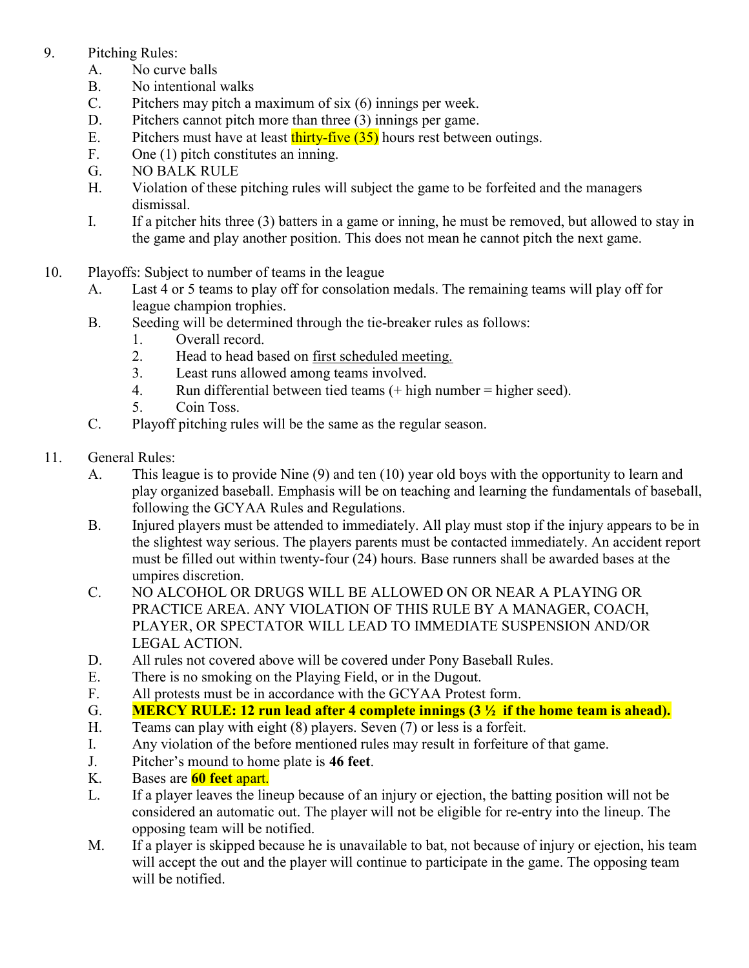## 9. Pitching Rules:

- A. No curve balls
- B. No intentional walks
- C. Pitchers may pitch a maximum of six (6) innings per week.
- D. Pitchers cannot pitch more than three (3) innings per game.
- E. Pitchers must have at least thirty-five  $(35)$  hours rest between outings.
- F. One (1) pitch constitutes an inning.
- G. NO BALK RULE
- H. Violation of these pitching rules will subject the game to be forfeited and the managers dismissal.
- I. If a pitcher hits three (3) batters in a game or inning, he must be removed, but allowed to stay in the game and play another position. This does not mean he cannot pitch the next game.
- 10. Playoffs: Subject to number of teams in the league
	- A. Last 4 or 5 teams to play off for consolation medals. The remaining teams will play off for league champion trophies.
	- B. Seeding will be determined through the tie-breaker rules as follows:
		- 1. Overall record.
		- 2. Head to head based on first scheduled meeting.
		- 3. Least runs allowed among teams involved.
		- 4. Run differential between tied teams (+ high number = higher seed).
		- 5. Coin Toss.
	- C. Playoff pitching rules will be the same as the regular season.
- 11. General Rules:
	- A. This league is to provide Nine (9) and ten (10) year old boys with the opportunity to learn and play organized baseball. Emphasis will be on teaching and learning the fundamentals of baseball, following the GCYAA Rules and Regulations.
	- B. Injured players must be attended to immediately. All play must stop if the injury appears to be in the slightest way serious. The players parents must be contacted immediately. An accident report must be filled out within twenty-four (24) hours. Base runners shall be awarded bases at the umpires discretion.
	- C. NO ALCOHOL OR DRUGS WILL BE ALLOWED ON OR NEAR A PLAYING OR PRACTICE AREA. ANY VIOLATION OF THIS RULE BY A MANAGER, COACH, PLAYER, OR SPECTATOR WILL LEAD TO IMMEDIATE SUSPENSION AND/OR LEGAL ACTION.
	- D. All rules not covered above will be covered under Pony Baseball Rules.
	- E. There is no smoking on the Playing Field, or in the Dugout.
	- F. All protests must be in accordance with the GCYAA Protest form.
	- G. MERCY RULE: 12 run lead after 4 complete innings  $(3 \frac{1}{2})$  if the home team is ahead).
	- H. Teams can play with eight (8) players. Seven (7) or less is a forfeit.
	- I. Any violation of the before mentioned rules may result in forfeiture of that game.
	- J. Pitcher's mound to home plate is 46 feet.
	- K. Bases are **60 feet apart.**
	- L. If a player leaves the lineup because of an injury or ejection, the batting position will not be considered an automatic out. The player will not be eligible for re-entry into the lineup. The opposing team will be notified.
	- M. If a player is skipped because he is unavailable to bat, not because of injury or ejection, his team will accept the out and the player will continue to participate in the game. The opposing team will be notified.